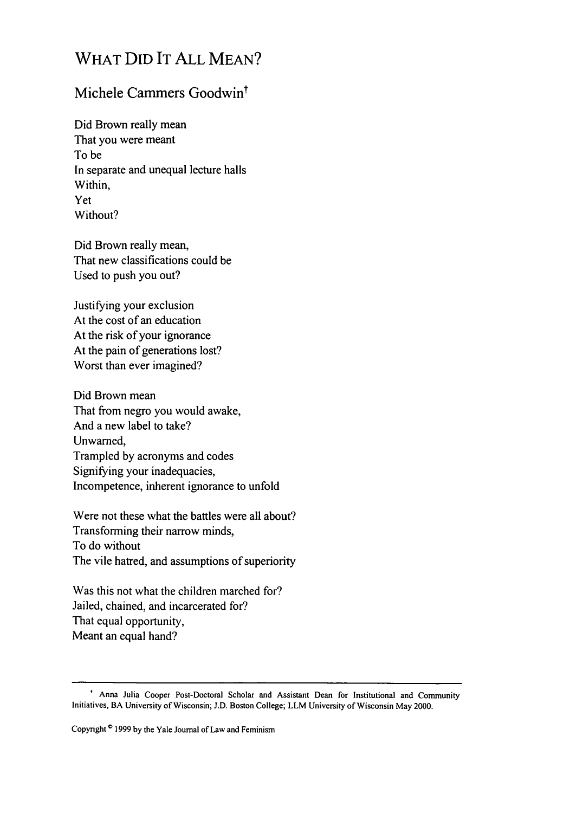## WHAT DID IT ALL MEAN?

## Michele Cammers Goodwin<sup>t</sup>

Did Brown really mean That you were meant To be In separate and unequal lecture halls Within, Yet Without?

Did Brown really mean, That new classifications could be Used to push you out?

Justifying your exclusion At the cost of an education At the risk of your ignorance At the pain of generations lost? Worst than ever imagined?

Did Brown mean That from negro you would awake, And a new label to take? Unwamed, Trampled by acronyms and codes Signifying your inadequacies, Incompetence, inherent ignorance to unfold

Were not these what the battles were all about? Transforming their narrow minds, To do without The vile hatred, and assumptions of superiority

Was this not what the children marched for? Jailed, chained, and incarcerated for? That equal opportunity, Meant an equal hand?

**<sup>&#</sup>x27;** Anna Julia Cooper Post-Doctoral Scholar and Assistant Dean for Institutional and Community Initiatives, BA University of Wisconsin; **J.D.** Boston College; LLM University of Wisconsin May 2000.